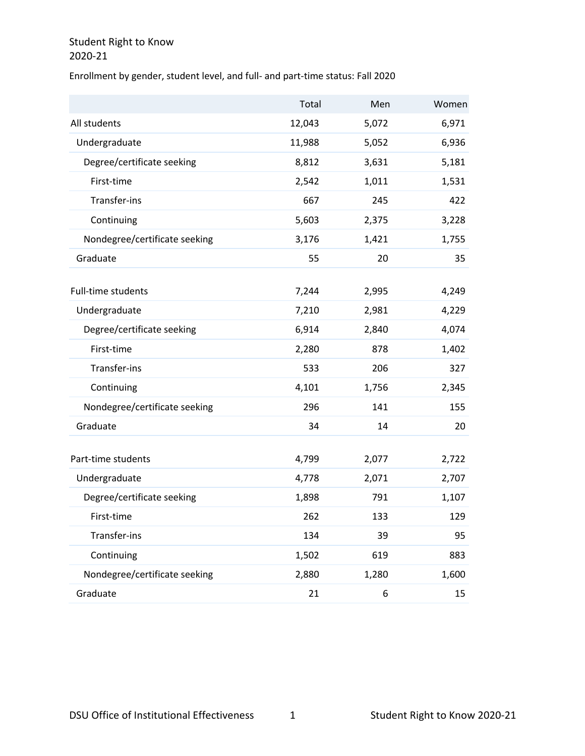Enrollment by gender, student level, and full- and part-time status: Fall 2020

|                               | Total  | Men   | Women |
|-------------------------------|--------|-------|-------|
| All students                  | 12,043 | 5,072 | 6,971 |
| Undergraduate                 | 11,988 | 5,052 | 6,936 |
| Degree/certificate seeking    | 8,812  | 3,631 | 5,181 |
| First-time                    | 2,542  | 1,011 | 1,531 |
| Transfer-ins                  | 667    | 245   | 422   |
| Continuing                    | 5,603  | 2,375 | 3,228 |
| Nondegree/certificate seeking | 3,176  | 1,421 | 1,755 |
| Graduate                      | 55     | 20    | 35    |
| <b>Full-time students</b>     | 7,244  | 2,995 | 4,249 |
| Undergraduate                 | 7,210  | 2,981 | 4,229 |
| Degree/certificate seeking    | 6,914  | 2,840 | 4,074 |
| First-time                    | 2,280  | 878   | 1,402 |
| Transfer-ins                  | 533    | 206   | 327   |
| Continuing                    | 4,101  | 1,756 | 2,345 |
| Nondegree/certificate seeking | 296    | 141   | 155   |
| Graduate                      | 34     | 14    | 20    |
| Part-time students            | 4,799  | 2,077 | 2,722 |
| Undergraduate                 | 4,778  | 2,071 | 2,707 |
| Degree/certificate seeking    | 1,898  | 791   | 1,107 |
| First-time                    | 262    | 133   | 129   |
| Transfer-ins                  | 134    | 39    | 95    |
| Continuing                    | 1,502  | 619   | 883   |
| Nondegree/certificate seeking | 2,880  | 1,280 | 1,600 |
| Graduate                      | 21     | 6     | 15    |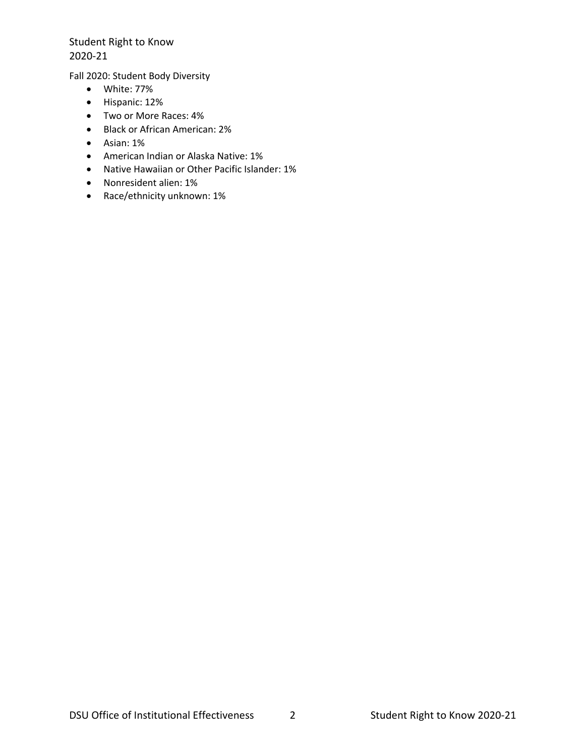Fall 2020: Student Body Diversity

- White: 77%
- Hispanic: 12%
- Two or More Races: 4%
- Black or African American: 2%
- Asian: 1%
- American Indian or Alaska Native: 1%
- Native Hawaiian or Other Pacific Islander: 1%
- Nonresident alien: 1%
- Race/ethnicity unknown: 1%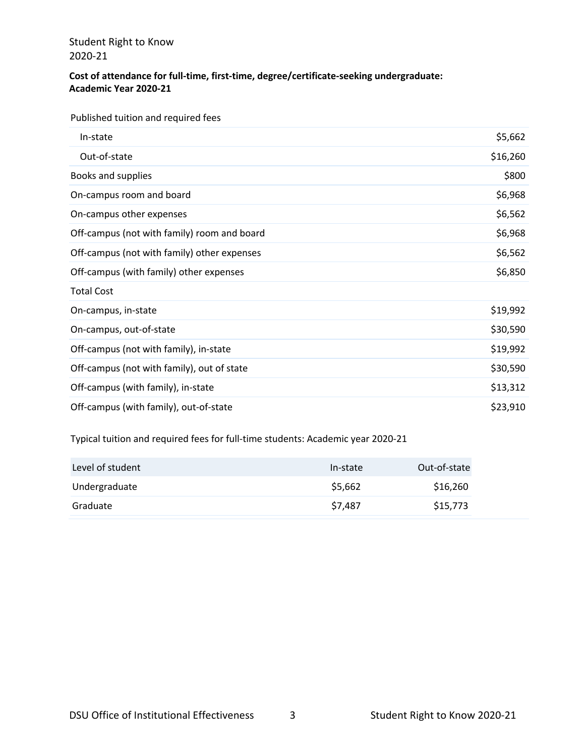#### **Cost of attendance for full-time, first-time, degree/certificate-seeking undergraduate: Academic Year 2020-21**

Published tuition and required fees

| In-state                                    | \$5,662  |
|---------------------------------------------|----------|
| Out-of-state                                | \$16,260 |
| Books and supplies                          | \$800    |
| On-campus room and board                    | \$6,968  |
| On-campus other expenses                    | \$6,562  |
| Off-campus (not with family) room and board | \$6,968  |
| Off-campus (not with family) other expenses | \$6,562  |
| Off-campus (with family) other expenses     | \$6,850  |
| <b>Total Cost</b>                           |          |
| On-campus, in-state                         | \$19,992 |
| On-campus, out-of-state                     | \$30,590 |
| Off-campus (not with family), in-state      | \$19,992 |
| Off-campus (not with family), out of state  | \$30,590 |
| Off-campus (with family), in-state          | \$13,312 |
| Off-campus (with family), out-of-state      | \$23,910 |

Typical tuition and required fees for full-time students: Academic year 2020-21

| Level of student | In-state | Out-of-state |
|------------------|----------|--------------|
| Undergraduate    | \$5,662  | \$16,260     |
| Graduate         | \$7,487  | \$15,773     |